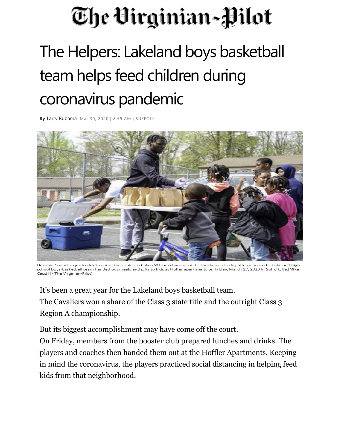## The Virginian~Pilot

## The Helpers: Lakeland boys basketball team helps feed children during coronavirus pandemic

**By** [Larry Rubama](http://www.pilotonline.com/vp-user_72ac3704-6225-11e5-8bab-10604b9ffe60-staff.html#nt=byline) Mar 30, 2020 | 8:59 AM | SUFFOLK



Devonte Saunders grabs drinks out of the cooler as Calvin Williams hands out the lunches on Friday afternoon as the Lakeland high school boys basketball team handed out meals and gifts to kids at Hofler apartments on Friday, March 27, 2020 in Suffolk, Va.(Mike Caudill / The Virginian-Pilot)

It's been a great year for the Lakeland boys basketball team. The Cavaliers won a share of the Class 3 state title and the outright Class 3 Region A championship.

But its biggest accomplishment may have come off the court.

On Friday, members from the booster club prepared lunches and drinks. The players and coaches then handed them out at the Hoffler Apartments. Keeping in mind the coronavirus, the players practiced social distancing in helping feed kids from that neighborhood.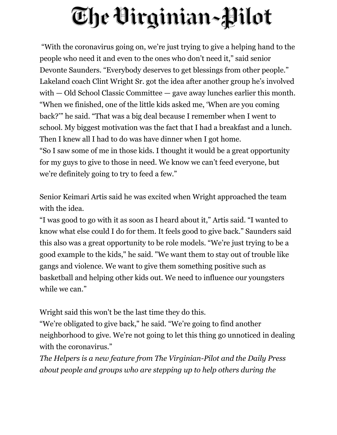## The Virginian~Pilot

"With the coronavirus going on, we're just trying to give a helping hand to the people who need it and even to the ones who don't need it," said senior Devonte Saunders. "Everybody deserves to get blessings from other people." Lakeland coach Clint Wright Sr. got the idea after another group he's involved with — Old School Classic Committee — gave away lunches earlier this month. "When we finished, one of the little kids asked me, 'When are you coming back?'" he said. "That was a big deal because I remember when I went to school. My biggest motivation was the fact that I had a breakfast and a lunch. Then I knew all I had to do was have dinner when I got home. "So I saw some of me in those kids. I thought it would be a great opportunity for my guys to give to those in need. We know we can't feed everyone, but we're definitely going to try to feed a few."

Senior Keimari Artis said he was excited when Wright approached the team with the idea.

"I was good to go with it as soon as I heard about it," Artis said. "I wanted to know what else could I do for them. It feels good to give back." Saunders said this also was a great opportunity to be role models. "We're just trying to be a good example to the kids," he said. "We want them to stay out of trouble like gangs and violence. We want to give them something positive such as basketball and helping other kids out. We need to influence our youngsters while we can."

Wright said this won't be the last time they do this.

"We're obligated to give back," he said. "We're going to find another neighborhood to give. We're not going to let this thing go unnoticed in dealing with the coronavirus."

*The Helpers is a new feature from The Virginian-Pilot and the Daily Press about people and groups who are stepping up to help others during the*